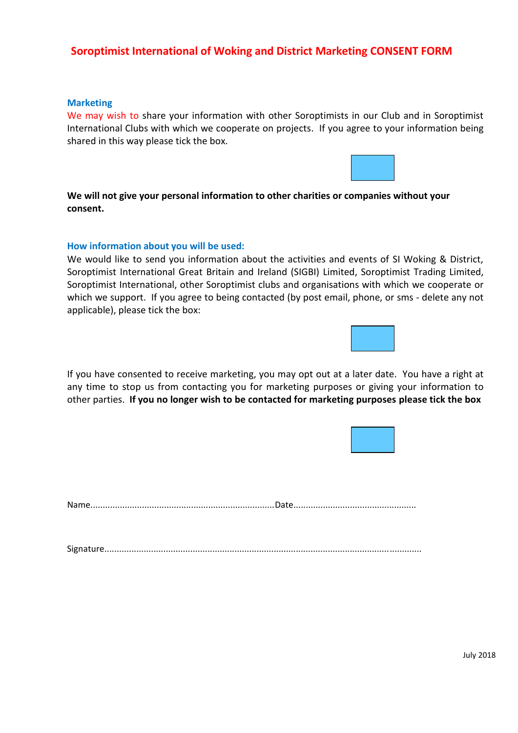# **Soroptimist International of Woking and District Marketing CONSENT FORM**

## **Marketing**

We may wish to share your information with other Soroptimists in our Club and in Soroptimist International Clubs with which we cooperate on projects. If you agree to your information being shared in this way please tick the box.



## **How information about you will be used:**

We would like to send you information about the activities and events of SI Woking & District, Soroptimist International Great Britain and Ireland (SIGBI) Limited, Soroptimist Trading Limited, Soroptimist International, other Soroptimist clubs and organisations with which we cooperate or which we support. If you agree to being contacted (by post email, phone, or sms - delete any not applicable), please tick the box:

If you have consented to receive marketing, you may opt out at a later date. You have a right at any time to stop us from contacting you for marketing purposes or giving your information to other parties. **If you no longer wish to be contacted for marketing purposes please tick the box** 

Name...........................................................................Date..................................................

Signature.................................................................................................................................